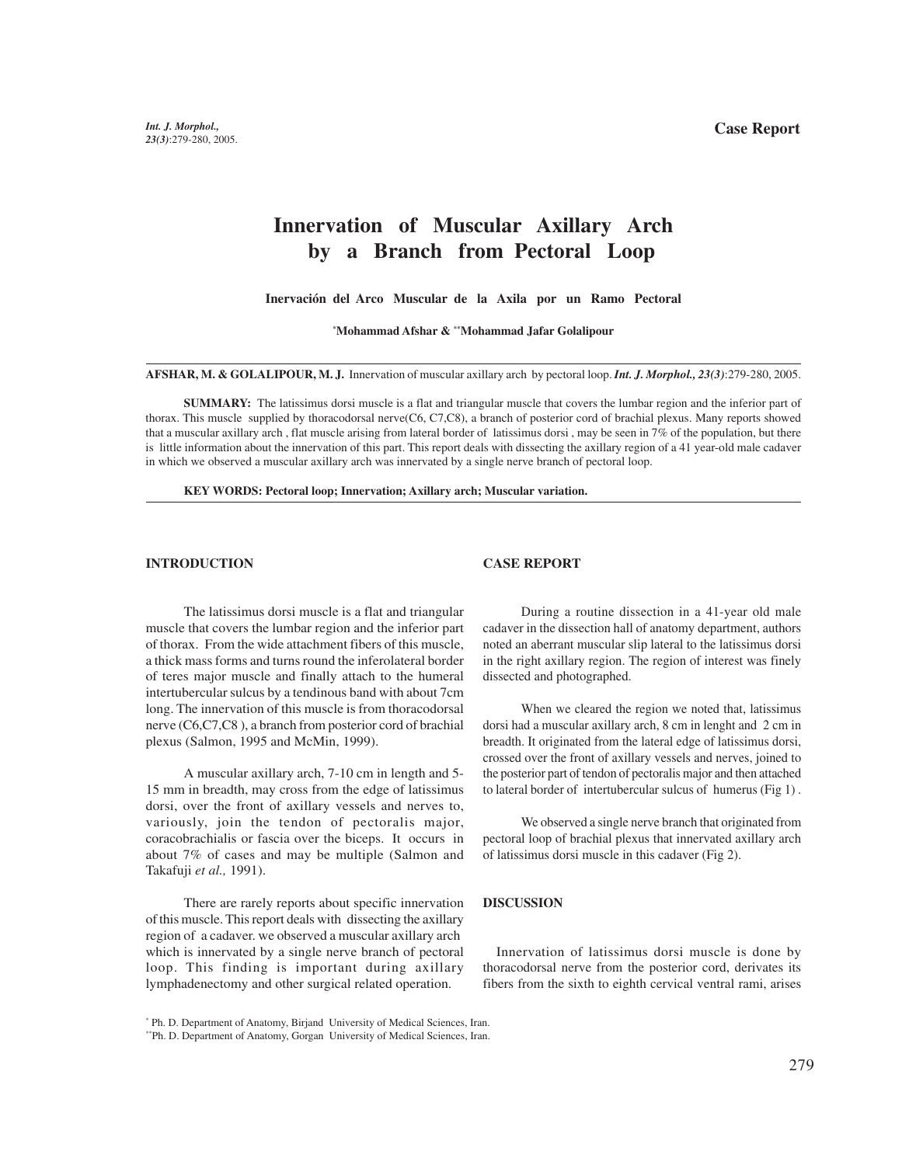# **Innervation of Muscular Axillary Arch by a Branch from Pectoral Loop**

**Inervación del Arco Muscular de la Axila por un Ramo Pectoral**

**\* Mohammad Afshar & \*\*Mohammad Jafar Golalipour**

**AFSHAR, M. & GOLALIPOUR, M. J.** Innervation of muscular axillary arch by pectoral loop. *Int. J. Morphol., 23(3)*:279-280, 2005.

**SUMMARY:** The latissimus dorsi muscle is a flat and triangular muscle that covers the lumbar region and the inferior part of thorax. This muscle supplied by thoracodorsal nerve(C6, C7,C8), a branch of posterior cord of brachial plexus. Many reports showed that a muscular axillary arch , flat muscle arising from lateral border of latissimus dorsi , may be seen in 7% of the population, but there is little information about the innervation of this part. This report deals with dissecting the axillary region of a 41 year-old male cadaver in which we observed a muscular axillary arch was innervated by a single nerve branch of pectoral loop.

**KEY WORDS: Pectoral loop; Innervation; Axillary arch; Muscular variation.**

## **INTRODUCTION**

#### **CASE REPORT**

The latissimus dorsi muscle is a flat and triangular muscle that covers the lumbar region and the inferior part of thorax. From the wide attachment fibers of this muscle, a thick mass forms and turns round the inferolateral border of teres major muscle and finally attach to the humeral intertubercular sulcus by a tendinous band with about 7cm long. The innervation of this muscle is from thoracodorsal nerve (C6,C7,C8 ), a branch from posterior cord of brachial plexus (Salmon, 1995 and McMin, 1999).

A muscular axillary arch, 7-10 cm in length and 5- 15 mm in breadth, may cross from the edge of latissimus dorsi, over the front of axillary vessels and nerves to, variously, join the tendon of pectoralis major, coracobrachialis or fascia over the biceps. It occurs in about 7% of cases and may be multiple (Salmon and Takafuji *et al.,* 1991).

There are rarely reports about specific innervation of this muscle. This report deals with dissecting the axillary region of a cadaver. we observed a muscular axillary arch which is innervated by a single nerve branch of pectoral loop. This finding is important during axillary lymphadenectomy and other surgical related operation.

During a routine dissection in a 41-year old male cadaver in the dissection hall of anatomy department, authors noted an aberrant muscular slip lateral to the latissimus dorsi in the right axillary region. The region of interest was finely dissected and photographed.

When we cleared the region we noted that, latissimus dorsi had a muscular axillary arch, 8 cm in lenght and 2 cm in breadth. It originated from the lateral edge of latissimus dorsi, crossed over the front of axillary vessels and nerves, joined to the posterior part of tendon of pectoralis major and then attached to lateral border of intertubercular sulcus of humerus (Fig 1) .

We observed a single nerve branch that originated from pectoral loop of brachial plexus that innervated axillary arch of latissimus dorsi muscle in this cadaver (Fig 2).

### **DISCUSSION**

 Innervation of latissimus dorsi muscle is done by thoracodorsal nerve from the posterior cord, derivates its fibers from the sixth to eighth cervical ventral rami, arises

<sup>\*</sup> Ph. D. Department of Anatomy, Birjand University of Medical Sciences, Iran.

<sup>\*\*</sup>Ph. D. Department of Anatomy, Gorgan University of Medical Sciences, Iran.